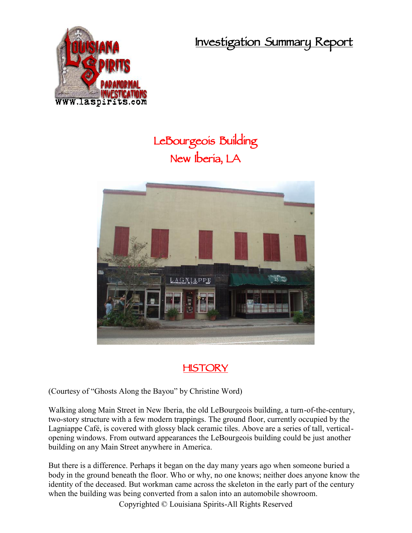**Investigation Summary Report**



## **LeBourgeois Building New Iberia, LA**



## **HISTORY**

(Courtesy of "Ghosts Along the Bayou" by Christine Word)

Walking along Main Street in New Iberia, the old LeBourgeois building, a turn-of-the-century, two-story structure with a few modern trappings. The ground floor, currently occupied by the Lagniappe Café, is covered with glossy black ceramic tiles. Above are a series of tall, vertical opening windows. From outward appearances the LeBourgeois building could be just another building on any Main Street anywhere in America.

But there is a difference. Perhaps it began on the day many years ago when someone buried a body in the ground beneath the floor. Who or why, no one knows; neither does anyone know the identity of the deceased. But workman came across the skeleton in the early part of the century when the building was being converted from a salon into an automobile showroom.

Copyrighted © Louisiana Spirits-All Rights Reserved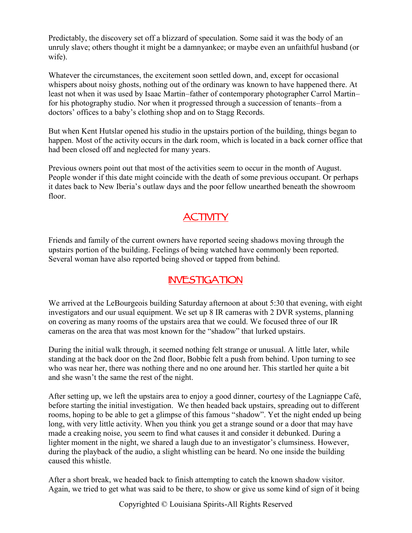Predictably, the discovery set off a blizzard of speculation. Some said it was the body of an unruly slave; others thought it might be a damnyankee; or maybe even an unfaithful husband (or wife).

Whatever the circumstances, the excitement soon settled down, and, except for occasional whispers about noisy ghosts, nothing out of the ordinary was known to have happened there. At least not when it was used by Isaac Martin–father of contemporary photographer Carrol Martin– for his photography studio. Nor when it progressed through a succession of tenants–from a doctors' offices to a baby's clothing shop and on to Stagg Records.

But when Kent Hutslar opened his studio in the upstairs portion of the building, things began to happen. Most of the activity occurs in the dark room, which is located in a back corner office that had been closed off and neglected for many years.

Previous owners point out that most of the activities seem to occur in the month of August. People wonder if this date might coincide with the death of some previous occupant. Or perhaps it dates back to New Iberia's outlaw days and the poor fellow unearthed beneath the showroom floor.

## **ACTIVITY**

Friends and family of the current owners have reported seeing shadows moving through the upstairs portion of the building. Feelings of being watched have commonly been reported. Several woman have also reported being shoved or tapped from behind.

## **INVESTIGATION**

We arrived at the LeBourgeois building Saturday afternoon at about 5:30 that evening, with eight investigators and our usual equipment. We set up 8 IR cameras with 2 DVR systems, planning on covering as many rooms of the upstairs area that we could. We focused three of our IR cameras on the area that was most known for the "shadow" that lurked upstairs.

During the initial walk through, it seemed nothing felt strange or unusual. A little later, while standing at the back door on the 2nd floor, Bobbie felt a push from behind. Upon turning to see who was near her, there was nothing there and no one around her. This startled her quite a bit and she wasn't the same the rest of the night.

After setting up, we left the upstairs area to enjoy a good dinner, courtesy of the Lagniappe Café, before starting the initial investigation. We then headed back upstairs, spreading out to different rooms, hoping to be able to get a glimpse of this famous "shadow". Yet the night ended up being long, with very little activity. When you think you get a strange sound or a door that may have made a creaking noise, you seem to find what causes it and consider it debunked. During a lighter moment in the night, we shared a laugh due to an investigator's clumsiness. However, during the playback of the audio, a slight whistling can be heard. No one inside the building caused this whistle.

After a short break, we headed back to finish attempting to catch the known shadow visitor. Again, we tried to get what was said to be there, to show or give us some kind of sign of it being